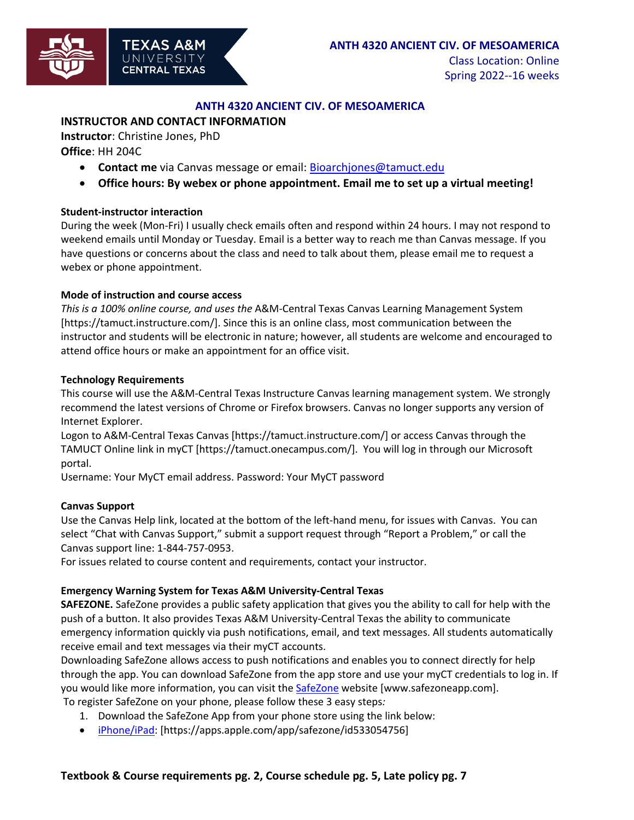

### **ANTH 4320 ANCIENT CIV. OF MESOAMERICA**

### **INSTRUCTOR AND CONTACT INFORMATION**

**Instructor**: Christine Jones, PhD **Office**: HH 204C

- **Contact me** via Canvas message or email: Bioarchjones@tamuct.edu
- **Office hours: By webex or phone appointment. Email me to set up a virtual meeting!**

#### **Student-instructor interaction**

During the week (Mon-Fri) I usually check emails often and respond within 24 hours. I may not respond to weekend emails until Monday or Tuesday. Email is a better way to reach me than Canvas message. If you have questions or concerns about the class and need to talk about them, please email me to request a webex or phone appointment.

#### **Mode of instruction and course access**

*This is a 100% online course, and uses the* A&M-Central Texas Canvas Learning Management System [https://tamuct.instructure.com/]. Since this is an online class, most communication between the instructor and students will be electronic in nature; however, all students are welcome and encouraged to attend office hours or make an appointment for an office visit.

#### **Technology Requirements**

This course will use the A&M-Central Texas Instructure Canvas learning management system. We strongly recommend the latest versions of Chrome or Firefox browsers. Canvas no longer supports any version of Internet Explorer.

Logon to A&M-Central Texas Canvas [https://tamuct.instructure.com/] or access Canvas through the TAMUCT Online link in myCT [https://tamuct.onecampus.com/]. You will log in through our Microsoft portal.

Username: Your MyCT email address. Password: Your MyCT password

#### **Canvas Support**

Use the Canvas Help link, located at the bottom of the left-hand menu, for issues with Canvas. You can select "Chat with Canvas Support," submit a support request through "Report a Problem," or call the Canvas support line: 1-844-757-0953.

For issues related to course content and requirements, contact your instructor.

#### **Emergency Warning System for Texas A&M University-Central Texas**

**SAFEZONE.** SafeZone provides a public safety application that gives you the ability to call for help with the push of a button. It also provides Texas A&M University-Central Texas the ability to communicate emergency information quickly via push notifications, email, and text messages. All students automatically receive email and text messages via their myCT accounts.

Downloading SafeZone allows access to push notifications and enables you to connect directly for help through the app. You can download SafeZone from the app store and use your myCT credentials to log in. If you would like more information, you can visit the SafeZone website [www.safezoneapp.com].

To register SafeZone on your phone, please follow these 3 easy steps*:*

- 1. Download the SafeZone App from your phone store using the link below:
- iPhone/iPad: [https://apps.apple.com/app/safezone/id533054756]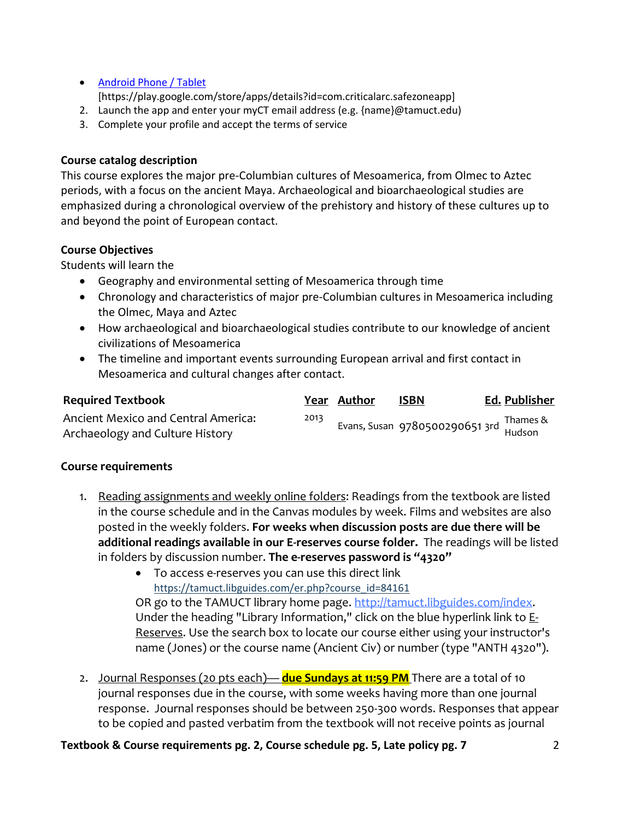- Android Phone / Tablet [https://play.google.com/store/apps/details?id=com.criticalarc.safezoneapp]
- 2. Launch the app and enter your myCT email address (e.g. {name}@tamuct.edu)
- 3. Complete your profile and accept the terms of service

## **Course catalog description**

This course explores the major pre-Columbian cultures of Mesoamerica, from Olmec to Aztec periods, with a focus on the ancient Maya. Archaeological and bioarchaeological studies are emphasized during a chronological overview of the prehistory and history of these cultures up to and beyond the point of European contact.

## **Course Objectives**

Students will learn the

- Geography and environmental setting of Mesoamerica through time
- Chronology and characteristics of major pre-Columbian cultures in Mesoamerica including the Olmec, Maya and Aztec
- How archaeological and bioarchaeological studies contribute to our knowledge of ancient civilizations of Mesoamerica
- The timeline and important events surrounding European arrival and first contact in Mesoamerica and cultural changes after contact.

| <b>Required Textbook</b>                                               |      | Year Author | <b>ISBN</b>                                              | Ed. Publisher |
|------------------------------------------------------------------------|------|-------------|----------------------------------------------------------|---------------|
| Ancient Mexico and Central America:<br>Archaeology and Culture History | 2013 |             | Evans, Susan   9780500290651 3rd   IIIdIIIes &<br>Hudson |               |

### **Course requirements**

- 1. Reading assignments and weekly online folders: Readings from the textbook are listed in the course schedule and in the Canvas modules by week. Films and websites are also posted in the weekly folders. **For weeks when discussion posts are due there will be additional readings available in our E-reserves course folder.** The readings will be listed in folders by discussion number. **The e-reserves password is "4320"**
	- To access e-reserves you can use this direct link https://tamuct.libguides.com/er.php?course\_id=84161 OR go to the TAMUCT library home page. http://tamuct.libguides.com/index. Under the heading "Library Information," click on the blue hyperlink link to E-Reserves. Use the search box to locate our course either using your instructor's name (Jones) or the course name (Ancient Civ) or number (type "ANTH 4320").
- 2. Journal Responses (20 pts each)— **due Sundays at 11:59 PM** There are a total of 10 journal responses due in the course, with some weeks having more than one journal response. Journal responses should be between 250-300 words. Responses that appear to be copied and pasted verbatim from the textbook will not receive points as journal

**Textbook & Course requirements pg. 2, Course schedule pg. 5, Late policy pg. 7** 2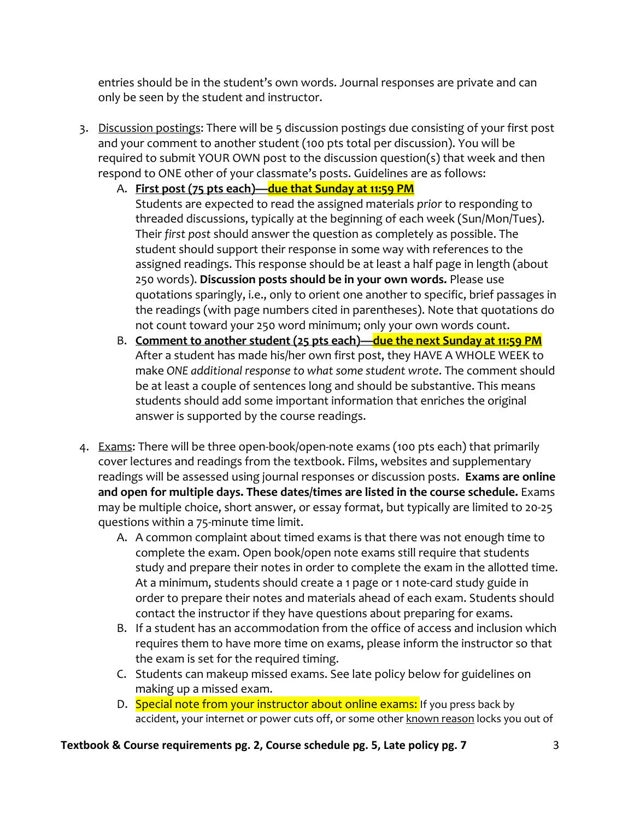entries should be in the student's own words. Journal responses are private and can only be seen by the student and instructor.

- 3. Discussion postings: There will be 5 discussion postings due consisting of your first post and your comment to another student (100 pts total per discussion). You will be required to submit YOUR OWN post to the discussion question(s) that week and then respond to ONE other of your classmate's posts. Guidelines are as follows:
	- A. **First post (75 pts each)—due that Sunday at 11:59 PM**

Students are expected to read the assigned materials *prior* to responding to threaded discussions, typically at the beginning of each week (Sun/Mon/Tues). Their *first post* should answer the question as completely as possible. The student should support their response in some way with references to the assigned readings. This response should be at least a half page in length (about 250 words). **Discussion posts should be in your own words.** Please use quotations sparingly, i.e., only to orient one another to specific, brief passages in the readings (with page numbers cited in parentheses). Note that quotations do not count toward your 250 word minimum; only your own words count.

- B. **Comment to another student (25 pts each)—due the next Sunday at 11:59 PM** After a student has made his/her own first post, they HAVE A WHOLE WEEK to make *ONE additional response to what some student wrote*. The comment should be at least a couple of sentences long and should be substantive. This means students should add some important information that enriches the original answer is supported by the course readings.
- 4. Exams: There will be three open-book/open-note exams (100 pts each) that primarily cover lectures and readings from the textbook. Films, websites and supplementary readings will be assessed using journal responses or discussion posts. **Exams are online and open for multiple days. These dates/times are listed in the course schedule.** Exams may be multiple choice, short answer, or essay format, but typically are limited to 20-25 questions within a 75-minute time limit.
	- A. A common complaint about timed exams is that there was not enough time to complete the exam. Open book/open note exams still require that students study and prepare their notes in order to complete the exam in the allotted time. At a minimum, students should create a 1 page or 1 note-card study guide in order to prepare their notes and materials ahead of each exam. Students should contact the instructor if they have questions about preparing for exams.
	- B. If a student has an accommodation from the office of access and inclusion which requires them to have more time on exams, please inform the instructor so that the exam is set for the required timing.
	- C. Students can makeup missed exams. See late policy below for guidelines on making up a missed exam.
	- D. Special note from your instructor about online exams: If you press back by accident, your internet or power cuts off, or some other known reason locks you out of

## **Textbook & Course requirements pg. 2, Course schedule pg. 5, Late policy pg. 7** 3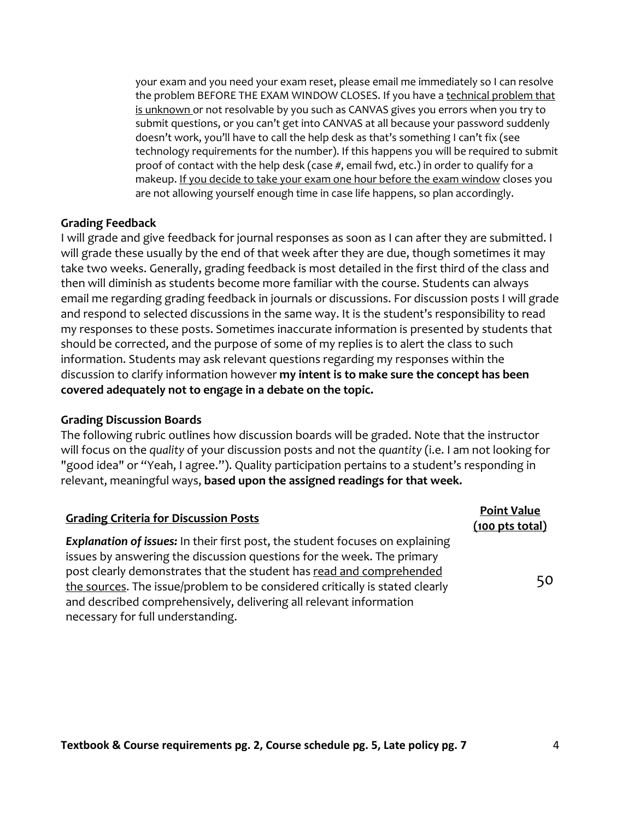your exam and you need your exam reset, please email me immediately so I can resolve the problem BEFORE THE EXAM WINDOW CLOSES. If you have a technical problem that is unknown or not resolvable by you such as CANVAS gives you errors when you try to submit questions, or you can't get into CANVAS at all because your password suddenly doesn't work, you'll have to call the help desk as that's something I can't fix (see technology requirements for the number). If this happens you will be required to submit proof of contact with the help desk (case #, email fwd, etc.) in order to qualify for a makeup. If you decide to take your exam one hour before the exam window closes you are not allowing yourself enough time in case life happens, so plan accordingly.

#### **Grading Feedback**

I will grade and give feedback for journal responses as soon as I can after they are submitted. I will grade these usually by the end of that week after they are due, though sometimes it may take two weeks. Generally, grading feedback is most detailed in the first third of the class and then will diminish as students become more familiar with the course. Students can always email me regarding grading feedback in journals or discussions. For discussion posts I will grade and respond to selected discussions in the same way. It is the student's responsibility to read my responses to these posts. Sometimes inaccurate information is presented by students that should be corrected, and the purpose of some of my replies is to alert the class to such information. Students may ask relevant questions regarding my responses within the discussion to clarify information however **my intent is to make sure the concept has been covered adequately not to engage in a debate on the topic.**

#### **Grading Discussion Boards**

The following rubric outlines how discussion boards will be graded. Note that the instructor will focus on the *quality* of your discussion posts and not the *quantity* (i.e. I am not looking for "good idea" or "Yeah, I agree."). Quality participation pertains to a student's responding in relevant, meaningful ways, **based upon the assigned readings for that week.**

| <b>Grading Criteria for Discussion Posts</b>                                                                                                                                                                                                                                                                                                                                                                                      | <b>Point Value</b><br>$(100$ pts total) |
|-----------------------------------------------------------------------------------------------------------------------------------------------------------------------------------------------------------------------------------------------------------------------------------------------------------------------------------------------------------------------------------------------------------------------------------|-----------------------------------------|
| <b>Explanation of issues:</b> In their first post, the student focuses on explaining<br>issues by answering the discussion questions for the week. The primary<br>post clearly demonstrates that the student has read and comprehended<br>the sources. The issue/problem to be considered critically is stated clearly<br>and described comprehensively, delivering all relevant information<br>necessary for full understanding. | 50                                      |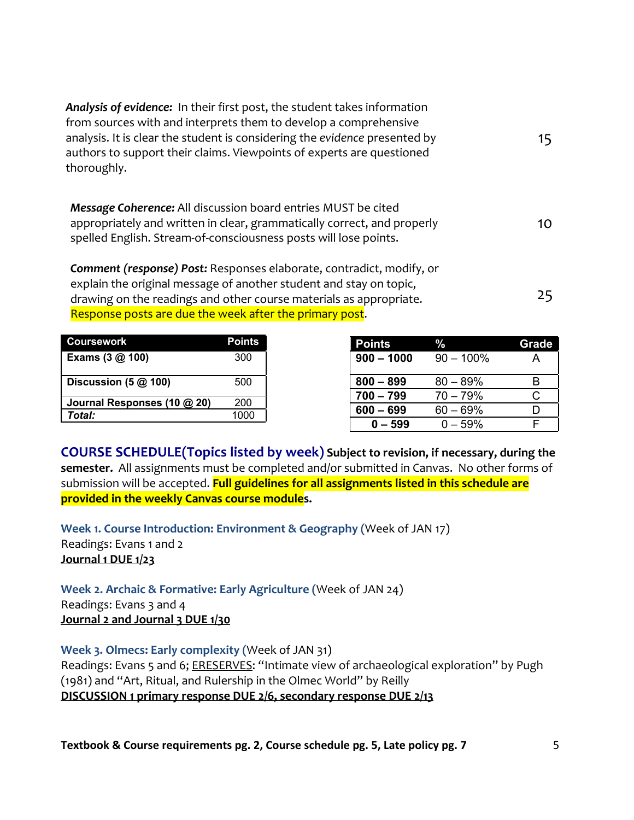| <b>Analysis of evidence:</b> In their first post, the student takes information<br>from sources with and interprets them to develop a comprehensive<br>analysis. It is clear the student is considering the evidence presented by<br>authors to support their claims. Viewpoints of experts are questioned<br>thoroughly. | 15  |
|---------------------------------------------------------------------------------------------------------------------------------------------------------------------------------------------------------------------------------------------------------------------------------------------------------------------------|-----|
| Message Coherence: All discussion board entries MUST be cited<br>appropriately and written in clear, grammatically correct, and properly<br>spelled English. Stream-of-consciousness posts will lose points.                                                                                                              | 10. |
| Comment (response) Post: Responses elaborate, contradict, modify, or<br>explain the original message of another student and stay on topic,<br>drawing on the readings and other course materials as appropriate.<br>Response posts are due the week after the primary post.                                               | 25  |

| <b>Coursework</b>               | <b>Points</b> | <b>Points</b> | $\%$         | Grade |
|---------------------------------|---------------|---------------|--------------|-------|
| Exams $(3 \text{ @ } 100)$      | 300           | $900 - 1000$  | $90 - 100\%$ |       |
| Discussion $(5 \text{ @ } 100)$ | 500           | $800 - 899$   | $80 - 89\%$  |       |
| Journal Responses (10 @ 20)     | 200           | $700 - 799$   | $70 - 79%$   |       |
| Total:                          | 1000          | $600 - 699$   | $60 - 69%$   |       |
|                                 |               | $0 - 599$     | $0 - 59%$    |       |

**COURSE SCHEDULE(Topics listed by week) Subject to revision, if necessary, during the semester.** All assignments must be completed and/or submitted in Canvas. No other forms of submission will be accepted. **Full guidelines for all assignments listed in this schedule are provided in the weekly Canvas course modules.**

**Week 1. Course Introduction: Environment & Geography (**Week of JAN 17) Readings: Evans 1 and 2 **Journal 1 DUE 1/23**

**Week 2. Archaic & Formative: Early Agriculture (**Week of JAN 24) Readings: Evans 3 and 4 **Journal 2 and Journal 3 DUE 1/30**

**Week 3. Olmecs: Early complexity (**Week of JAN 31) Readings: Evans 5 and 6; ERESERVES: "Intimate view of archaeological exploration" by Pugh (1981) and "Art, Ritual, and Rulership in the Olmec World" by Reilly **DISCUSSION 1 primary response DUE 2/6, secondary response DUE 2/13**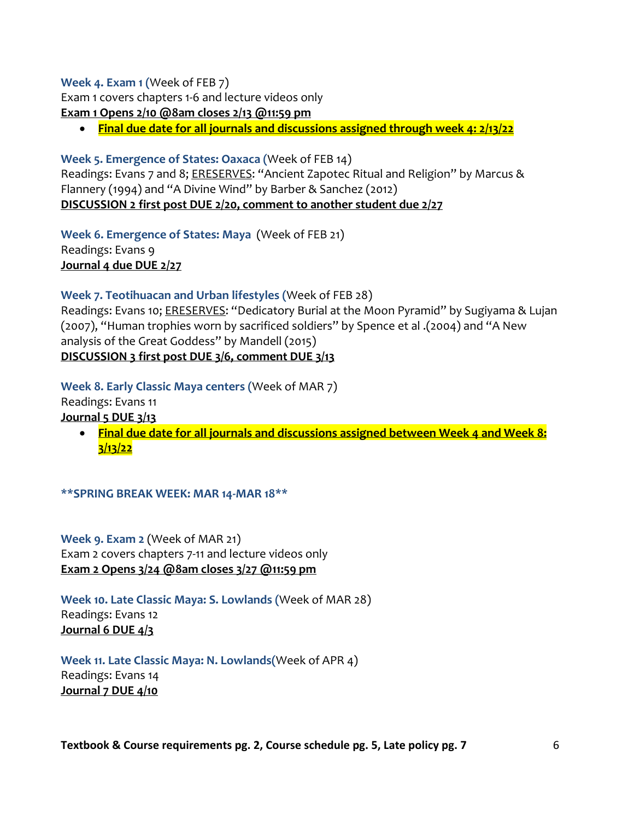### **Week 4. Exam 1 (**Week of FEB 7)

Exam 1 covers chapters 1-6 and lecture videos only **Exam 1 Opens 2/10 @8am closes 2/13 @11:59 pm**

• **Final due date for all journals and discussions assigned through week 4: 2/13/22**

# **Week 5. Emergence of States: Oaxaca (**Week of FEB 14)

Readings: Evans 7 and 8; ERESERVES: "Ancient Zapotec Ritual and Religion" by Marcus & Flannery (1994) and "A Divine Wind" by Barber & Sanchez (2012) **DISCUSSION 2 first post DUE 2/20, comment to another student due 2/27**

**Week 6. Emergence of States: Maya** (Week of FEB 21) Readings: Evans 9 **Journal 4 due DUE 2/27**

# **Week 7. Teotihuacan and Urban lifestyles (**Week of FEB 28)

Readings: Evans 10; ERESERVES: "Dedicatory Burial at the Moon Pyramid" by Sugiyama & Lujan (2007), "Human trophies worn by sacrificed soldiers" by Spence et al .(2004) and "A New analysis of the Great Goddess" by Mandell (2015) **DISCUSSION 3 first post DUE 3/6, comment DUE 3/13**

**Week 8. Early Classic Maya centers (**Week of MAR 7)

Readings: Evans 11 **Journal 5 DUE 3/13** 

> • **Final due date for all journals and discussions assigned between Week 4 and Week 8: 3/13/22**

**\*\*SPRING BREAK WEEK: MAR 14-MAR 18\*\***

**Week 9. Exam 2** (Week of MAR 21) Exam 2 covers chapters 7-11 and lecture videos only **Exam 2 Opens 3/24 @8am closes 3/27 @11:59 pm**

**Week 10. Late Classic Maya: S. Lowlands (**Week of MAR 28) Readings: Evans 12 **Journal 6 DUE 4/3**

**Week 11. Late Classic Maya: N. Lowlands(**Week of APR 4) Readings: Evans 14 **Journal 7 DUE 4/10**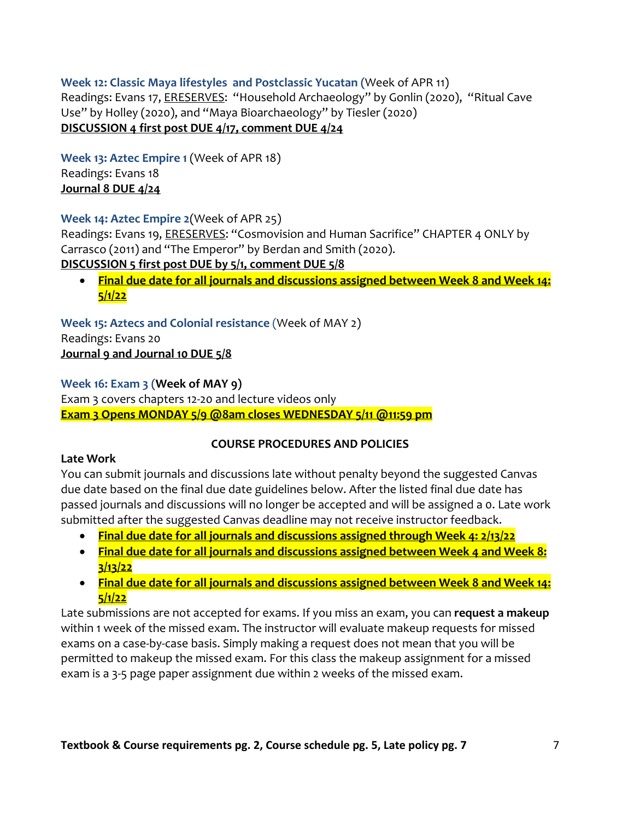# **Week 12: Classic Maya lifestyles and Postclassic Yucatan (**Week of APR 11) Readings: Evans 17, ERESERVES: "Household Archaeology" by Gonlin (2020), "Ritual Cave Use" by Holley (2020), and "Maya Bioarchaeology" by Tiesler (2020) **DISCUSSION 4 first post DUE 4/17, comment DUE 4/24**

**Week 13: Aztec Empire 1** (Week of APR 18) Readings: Evans 18 **Journal 8 DUE 4/24**

# **Week 14: Aztec Empire 2**(Week of APR 25)

Readings: Evans 19, **ERESERVES:** "Cosmovision and Human Sacrifice" CHAPTER 4 ONLY by Carrasco (2011) and "The Emperor" by Berdan and Smith (2020).

# **DISCUSSION 5 first post DUE by 5/1, comment DUE 5/8**

• **Final due date for all journals and discussions assigned between Week 8 and Week 14: 5/1/22**

**Week 15: Aztecs and Colonial resistance** (Week of MAY 2) Readings: Evans 20 **Journal 9 and Journal 10 DUE 5/8**

# **Week 16: Exam 3 (Week of MAY 9)**

Exam 3 covers chapters 12-20 and lecture videos only **Exam 3 Opens MONDAY 5/9 @8am closes WEDNESDAY 5/11 @11:59 pm**

# **COURSE PROCEDURES AND POLICIES**

## **Late Work**

You can submit journals and discussions late without penalty beyond the suggested Canvas due date based on the final due date guidelines below. After the listed final due date has passed journals and discussions will no longer be accepted and will be assigned a 0. Late work submitted after the suggested Canvas deadline may not receive instructor feedback.

- **Final due date for all journals and discussions assigned through Week 4: 2/13/22**
- **Final due date for all journals and discussions assigned between Week 4 and Week 8: 3/13/22**
- **Final due date for all journals and discussions assigned between Week 8 and Week 14: 5/1/22**

Late submissions are not accepted for exams. If you miss an exam, you can **request a makeup** within 1 week of the missed exam. The instructor will evaluate makeup requests for missed exams on a case-by-case basis. Simply making a request does not mean that you will be permitted to makeup the missed exam. For this class the makeup assignment for a missed exam is a 3-5 page paper assignment due within 2 weeks of the missed exam.